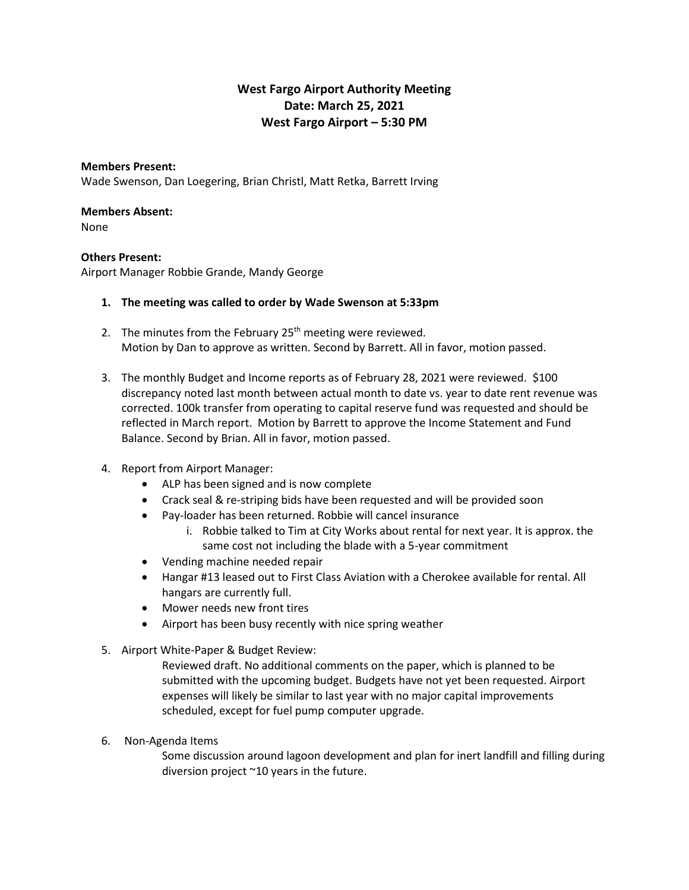# **West Fargo Airport Authority Meeting Date: March 25, 2021 West Fargo Airport – 5:30 PM**

## **Members Present:**

Wade Swenson, Dan Loegering, Brian Christl, Matt Retka, Barrett Irving

#### **Members Absent:**

None

## **Others Present:**

Airport Manager Robbie Grande, Mandy George

#### **1. The meeting was called to order by Wade Swenson at 5:33pm**

- 2. The minutes from the February  $25<sup>th</sup>$  meeting were reviewed. Motion by Dan to approve as written. Second by Barrett. All in favor, motion passed.
- 3. The monthly Budget and Income reports as of February 28, 2021 were reviewed. \$100 discrepancy noted last month between actual month to date vs. year to date rent revenue was corrected. 100k transfer from operating to capital reserve fund was requested and should be reflected in March report. Motion by Barrett to approve the Income Statement and Fund Balance. Second by Brian. All in favor, motion passed.

## 4. Report from Airport Manager:

- ALP has been signed and is now complete
- Crack seal & re-striping bids have been requested and will be provided soon
- Pay-loader has been returned. Robbie will cancel insurance
	- i. Robbie talked to Tim at City Works about rental for next year. It is approx. the same cost not including the blade with a 5-year commitment
- Vending machine needed repair
- Hangar #13 leased out to First Class Aviation with a Cherokee available for rental. All hangars are currently full.
- Mower needs new front tires
- Airport has been busy recently with nice spring weather
- 5. Airport White-Paper & Budget Review:

Reviewed draft. No additional comments on the paper, which is planned to be submitted with the upcoming budget. Budgets have not yet been requested. Airport expenses will likely be similar to last year with no major capital improvements scheduled, except for fuel pump computer upgrade.

6. Non-Agenda Items

Some discussion around lagoon development and plan for inert landfill and filling during diversion project ~10 years in the future.